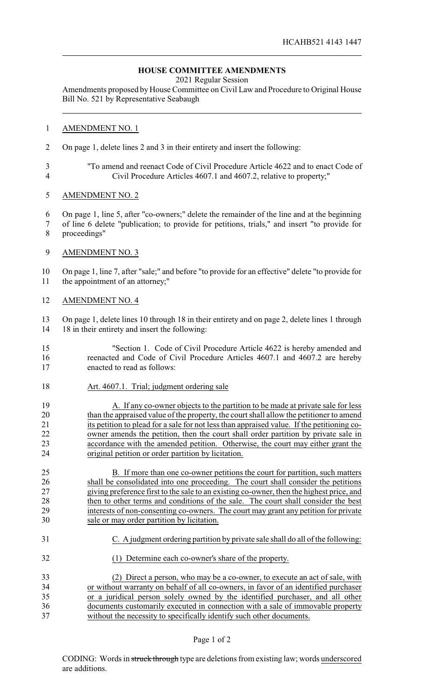## **HOUSE COMMITTEE AMENDMENTS**

2021 Regular Session

Amendments proposed by House Committee on Civil Law and Procedure to Original House Bill No. 521 by Representative Seabaugh

## AMENDMENT NO. 1

- On page 1, delete lines 2 and 3 in their entirety and insert the following:
- "To amend and reenact Code of Civil Procedure Article 4622 and to enact Code of Civil Procedure Articles 4607.1 and 4607.2, relative to property;"
- AMENDMENT NO. 2
- On page 1, line 5, after "co-owners;" delete the remainder of the line and at the beginning
- of line 6 delete "publication; to provide for petitions, trials," and insert "to provide for proceedings"
- 9 AMENDMENT NO. 3

 On page 1, line 7, after "sale;" and before "to provide for an effective" delete "to provide for the appointment of an attorney;"

AMENDMENT NO. 4

 On page 1, delete lines 10 through 18 in their entirety and on page 2, delete lines 1 through 18 in their entirety and insert the following:

- "Section 1. Code of Civil Procedure Article 4622 is hereby amended and reenacted and Code of Civil Procedure Articles 4607.1 and 4607.2 are hereby enacted to read as follows:
- Art. 4607.1. Trial; judgment ordering sale
- 19 A. If any co-owner objects to the partition to be made at private sale for less than the appraised value of the property, the court shall allow the petitioner to amend 21 its petition to plead for a sale for not less than appraised value. If the petitioning co- owner amends the petition, then the court shall order partition by private sale in accordance with the amended petition. Otherwise, the court may either grant the original petition or order partition by licitation.
- B. If more than one co-owner petitions the court for partition, such matters shall be consolidated into one proceeding. The court shall consider the petitions giving preference first to the sale to an existing co-owner, then the highest price, and 28 then to other terms and conditions of the sale. The court shall consider the best interests of non-consenting co-owners. The court may grant any petition for private sale or may order partition by licitation.
- C. A judgment ordering partition by private sale shall do all of the following:
- (1) Determine each co-owner's share of the property.

 (2) Direct a person, who may be a co-owner, to execute an act of sale, with or without warranty on behalf of all co-owners, in favor of an identified purchaser or a juridical person solely owned by the identified purchaser, and all other documents customarily executed in connection with a sale of immovable property without the necessity to specifically identify such other documents.